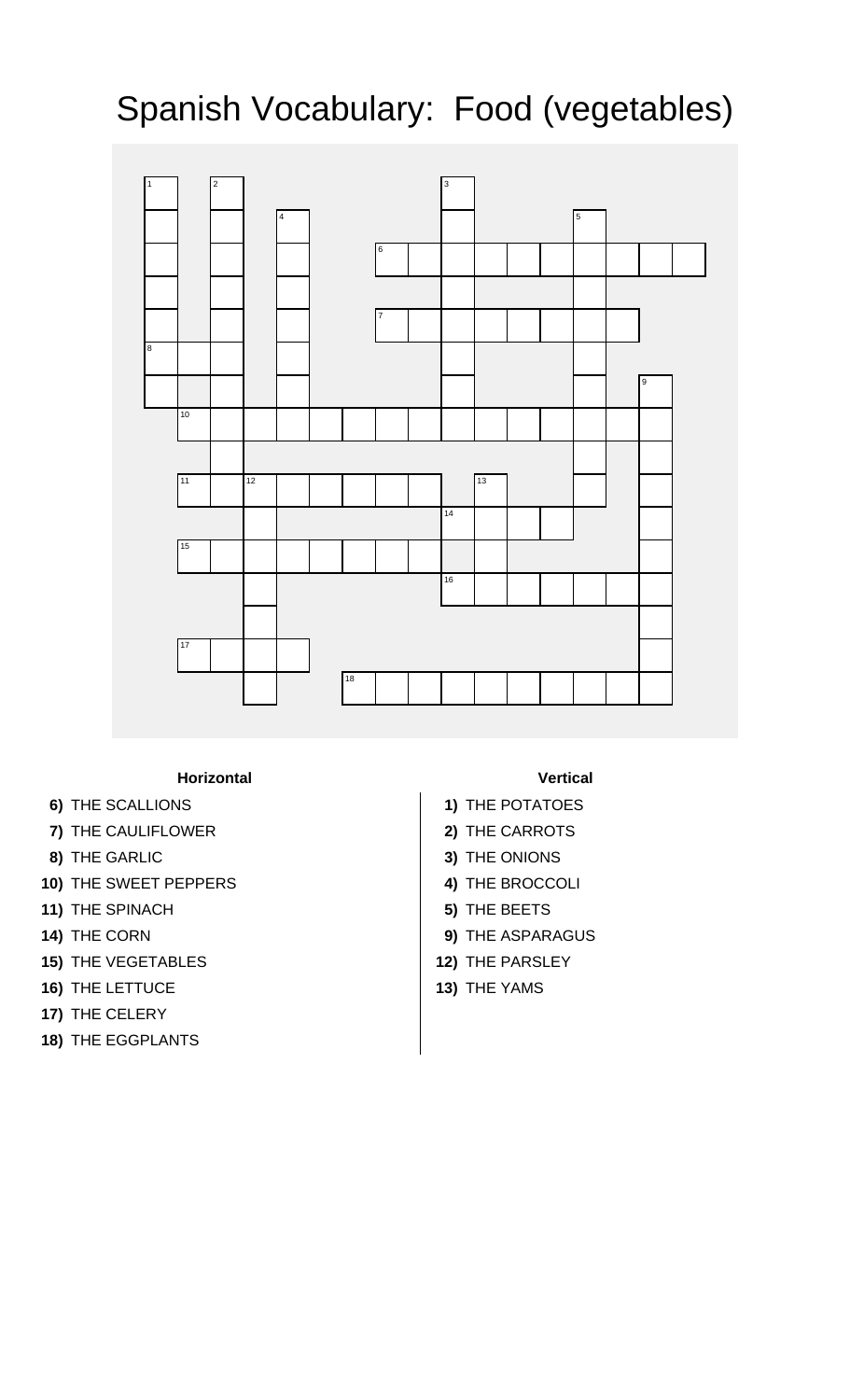## Spanish Vocabulary: Food (vegetables)



## **Horizontal Vertical**

- **6)** THE SCALLIONS **1)** THE POTATOES
- **7)** THE CAULIFLOWER **2)** THE CARROTS
- **8)** THE GARLIC **3)** THE ONIONS
- **10)** THE SWEET PEPPERS **4)** THE BROCCOLI
- **11)** THE SPINACH **5)** THE BEETS
- 
- 15) THE VEGETABLES **12)** THE PARSLEY
- **16)** THE LETTUCE **13)** THE YAMS
- **17)** THE CELERY
- **18)** THE EGGPLANTS

- 
- 
- 
- 
- 
- **14)** THE CORN **9)** THE ASPARAGUS
	-
	-